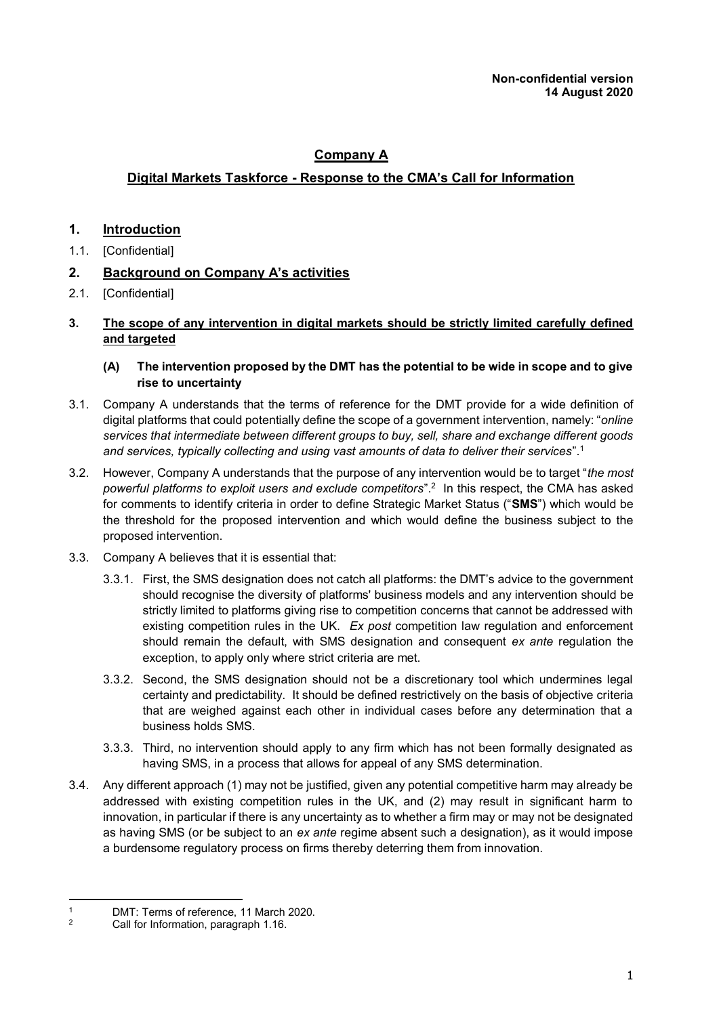# **Company A**

## **Digital Markets Taskforce - Response to the CMA's Call for Information**

## **1. Introduction**

- 1.1. [Confidential]
- **2. Background on Company A's activities**
- 2.1. [Confidential]

#### **3. The scope of any intervention in digital markets should be strictly limited carefully defined and targeted**

- **(A) The intervention proposed by the DMT has the potential to be wide in scope and to give rise to uncertainty**
- 3.1. Company A understands that the terms of reference for the DMT provide for a wide definition of digital platforms that could potentially define the scope of a government intervention, namely: "*online services that intermediate between different groups to buy, sell, share and exchange different goods and services, typically collecting and using vast amounts of data to deliver their services*".<sup>1</sup>
- 3.2. However, Company A understands that the purpose of any intervention would be to target "*the most powerful platforms to exploit users and exclude competitors*".<sup>2</sup> In this respect, the CMA has asked for comments to identify criteria in order to define Strategic Market Status ("**SMS**") which would be the threshold for the proposed intervention and which would define the business subject to the proposed intervention.
- <span id="page-0-0"></span>3.3. Company A believes that it is essential that:
	- 3.3.1. First, the SMS designation does not catch all platforms: the DMT's advice to the government should recognise the diversity of platforms' business models and any intervention should be strictly limited to platforms giving rise to competition concerns that cannot be addressed with existing competition rules in the UK. *Ex post* competition law regulation and enforcement should remain the default, with SMS designation and consequent *ex ante* regulation the exception, to apply only where strict criteria are met.
	- 3.3.2. Second, the SMS designation should not be a discretionary tool which undermines legal certainty and predictability. It should be defined restrictively on the basis of objective criteria that are weighed against each other in individual cases before any determination that a business holds SMS.
	- 3.3.3. Third, no intervention should apply to any firm which has not been formally designated as having SMS, in a process that allows for appeal of any SMS determination.
- 3.4. Any different approach (1) may not be justified, given any potential competitive harm may already be addressed with existing competition rules in the UK, and (2) may result in significant harm to innovation, in particular if there is any uncertainty as to whether a firm may or may not be designated as having SMS (or be subject to an *ex ante* regime absent such a designation), as it would impose a burdensome regulatory process on firms thereby deterring them from innovation.

<sup>-</sup><sup>1</sup> DMT: Terms of reference, 11 March 2020.<br><sup>2</sup> Call for Information, paragraph 1.16

<sup>2</sup> Call for Information, paragraph 1.16.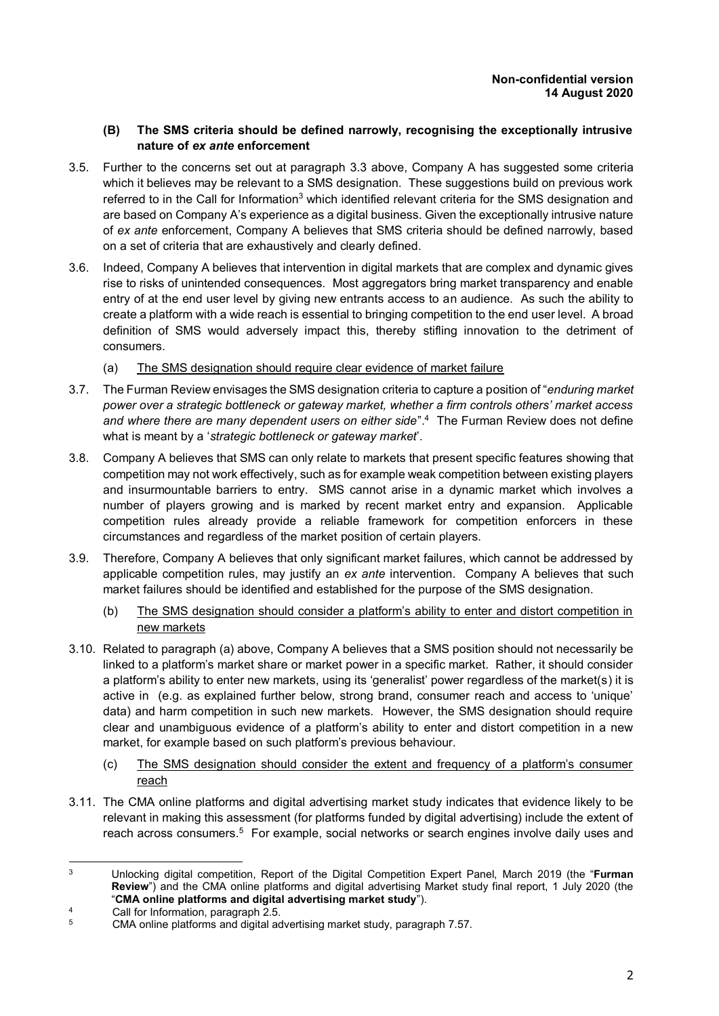#### **(B) The SMS criteria should be defined narrowly, recognising the exceptionally intrusive nature of** *ex ante* **enforcement**

- 3.5. Further to the concerns set out at paragraph [3.3](#page-0-0) above, Company A has suggested some criteria which it believes may be relevant to a SMS designation. These suggestions build on previous work referred to in the Call for Information<sup>3</sup> which identified relevant criteria for the SMS designation and are based on Company A's experience as a digital business. Given the exceptionally intrusive nature of *ex ante* enforcement, Company A believes that SMS criteria should be defined narrowly, based on a set of criteria that are exhaustively and clearly defined.
- 3.6. Indeed, Company A believes that intervention in digital markets that are complex and dynamic gives rise to risks of unintended consequences. Most aggregators bring market transparency and enable entry of at the end user level by giving new entrants access to an audience. As such the ability to create a platform with a wide reach is essential to bringing competition to the end user level. A broad definition of SMS would adversely impact this, thereby stifling innovation to the detriment of consumers.
	- (a) The SMS designation should require clear evidence of market failure
- 3.7. The Furman Review envisages the SMS designation criteria to capture a position of "*enduring market power over a strategic bottleneck or gateway market, whether a firm controls others' market access*  and where there are many dependent users on either side".<sup>4</sup> The Furman Review does not define what is meant by a '*strategic bottleneck or gateway market*'.
- 3.8. Company A believes that SMS can only relate to markets that present specific features showing that competition may not work effectively, such as for example weak competition between existing players and insurmountable barriers to entry. SMS cannot arise in a dynamic market which involves a number of players growing and is marked by recent market entry and expansion. Applicable competition rules already provide a reliable framework for competition enforcers in these circumstances and regardless of the market position of certain players.
- 3.9. Therefore, Company A believes that only significant market failures, which cannot be addressed by applicable competition rules, may justify an *ex ante* intervention. Company A believes that such market failures should be identified and established for the purpose of the SMS designation.
	- (b) The SMS designation should consider a platform's ability to enter and distort competition in new markets
- 3.10. Related to paragraph (a) above, Company A believes that a SMS position should not necessarily be linked to a platform's market share or market power in a specific market. Rather, it should consider a platform's ability to enter new markets, using its 'generalist' power regardless of the market(s) it is active in (e.g. as explained further below, strong brand, consumer reach and access to 'unique' data) and harm competition in such new markets. However, the SMS designation should require clear and unambiguous evidence of a platform's ability to enter and distort competition in a new market, for example based on such platform's previous behaviour.
	- (c) The SMS designation should consider the extent and frequency of a platform's consumer reach
- 3.11. The CMA online platforms and digital advertising market study indicates that evidence likely to be relevant in making this assessment (for platforms funded by digital advertising) include the extent of reach across consumers.<sup>5</sup> For example, social networks or search engines involve daily uses and

<sup>-</sup><sup>3</sup> Unlocking digital competition, Report of the Digital Competition Expert Panel, March 2019 (the "**Furman Review**") and the CMA online platforms and digital advertising Market study final report, 1 July 2020 (the "**CMA online platforms and digital advertising market study**").

<sup>4</sup> Call for Information, paragraph  $\frac{2.5}{5}$  CMA opting platforms and digital as

<sup>5</sup> CMA online platforms and digital advertising market study, paragraph 7.57.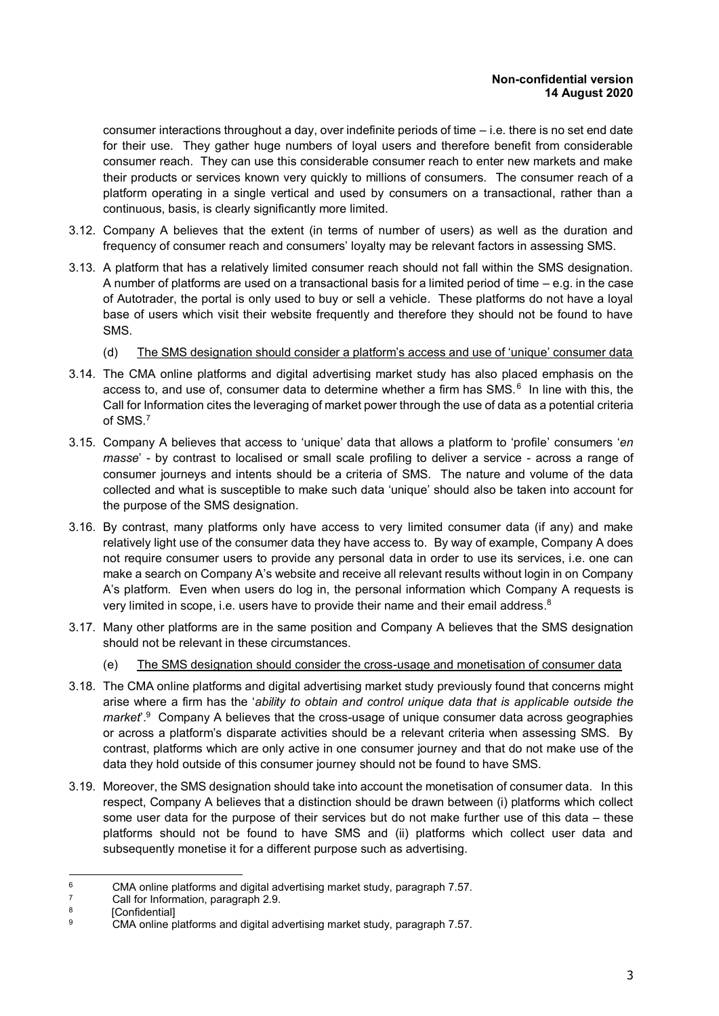consumer interactions throughout a day, over indefinite periods of time  $-$  i.e. there is no set end date for their use. They gather huge numbers of loyal users and therefore benefit from considerable consumer reach. They can use this considerable consumer reach to enter new markets and make their products or services known very quickly to millions of consumers. The consumer reach of a platform operating in a single vertical and used by consumers on a transactional, rather than a continuous, basis, is clearly significantly more limited.

- 3.12. Company A believes that the extent (in terms of number of users) as well as the duration and frequency of consumer reach and consumers' loyalty may be relevant factors in assessing SMS.
- 3.13. A platform that has a relatively limited consumer reach should not fall within the SMS designation. A number of platforms are used on a transactional basis for a limited period of time – e.g. in the case of Autotrader, the portal is only used to buy or sell a vehicle. These platforms do not have a loyal base of users which visit their website frequently and therefore they should not be found to have SMS.
	- (d) The SMS designation should consider a platform's access and use of 'unique' consumer data
- 3.14. The CMA online platforms and digital advertising market study has also placed emphasis on the access to, and use of, consumer data to determine whether a firm has SMS. $6$  In line with this, the Call for Information cites the leveraging of market power through the use of data as a potential criteria of SMS. 7
- 3.15. Company A believes that access to 'unique' data that allows a platform to 'profile' consumers '*en masse*' - by contrast to localised or small scale profiling to deliver a service - across a range of consumer journeys and intents should be a criteria of SMS. The nature and volume of the data collected and what is susceptible to make such data 'unique' should also be taken into account for the purpose of the SMS designation.
- 3.16. By contrast, many platforms only have access to very limited consumer data (if any) and make relatively light use of the consumer data they have access to. By way of example, Company A does not require consumer users to provide any personal data in order to use its services, i.e. one can make a search on Company A's website and receive all relevant results without login in on Company A's platform. Even when users do log in, the personal information which Company A requests is very limited in scope, i.e. users have to provide their name and their email address. $^8$
- 3.17. Many other platforms are in the same position and Company A believes that the SMS designation should not be relevant in these circumstances.
	- (e) The SMS designation should consider the cross-usage and monetisation of consumer data
- 3.18. The CMA online platforms and digital advertising market study previously found that concerns might arise where a firm has the '*ability to obtain and control unique data that is applicable outside the*  market<sup>' 9</sup> Company A believes that the cross-usage of unique consumer data across geographies or across a platform's disparate activities should be a relevant criteria when assessing SMS. By contrast, platforms which are only active in one consumer journey and that do not make use of the data they hold outside of this consumer journey should not be found to have SMS.
- 3.19. Moreover, the SMS designation should take into account the monetisation of consumer data. In this respect, Company A believes that a distinction should be drawn between (i) platforms which collect some user data for the purpose of their services but do not make further use of this data – these platforms should not be found to have SMS and (ii) platforms which collect user data and subsequently monetise it for a different purpose such as advertising.

<sup>-</sup><sup>6</sup> CMA online platforms and digital advertising market study, paragraph 7.57.

Call for Information, paragraph 2.9.

<sup>8</sup> **[Confidential]** 

<sup>9</sup> CMA online platforms and digital advertising market study, paragraph 7.57.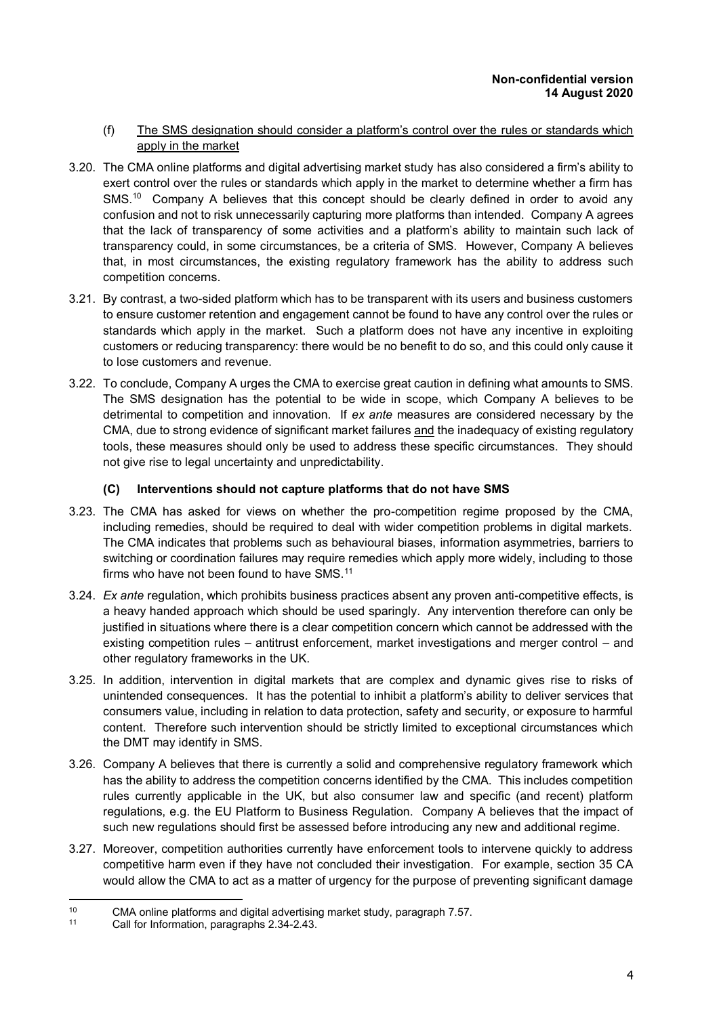#### (f) The SMS designation should consider a platform's control over the rules or standards which apply in the market

- 3.20. The CMA online platforms and digital advertising market study has also considered a firm's ability to exert control over the rules or standards which apply in the market to determine whether a firm has SMS.<sup>10</sup> Company A believes that this concept should be clearly defined in order to avoid any confusion and not to risk unnecessarily capturing more platforms than intended. Company A agrees that the lack of transparency of some activities and a platform's ability to maintain such lack of transparency could, in some circumstances, be a criteria of SMS. However, Company A believes that, in most circumstances, the existing regulatory framework has the ability to address such competition concerns.
- 3.21. By contrast, a two-sided platform which has to be transparent with its users and business customers to ensure customer retention and engagement cannot be found to have any control over the rules or standards which apply in the market. Such a platform does not have any incentive in exploiting customers or reducing transparency: there would be no benefit to do so, and this could only cause it to lose customers and revenue.
- 3.22. To conclude, Company A urges the CMA to exercise great caution in defining what amounts to SMS. The SMS designation has the potential to be wide in scope, which Company A believes to be detrimental to competition and innovation. If *ex ante* measures are considered necessary by the CMA, due to strong evidence of significant market failures and the inadequacy of existing regulatory tools, these measures should only be used to address these specific circumstances. They should not give rise to legal uncertainty and unpredictability.

### **(C) Interventions should not capture platforms that do not have SMS**

- 3.23. The CMA has asked for views on whether the pro-competition regime proposed by the CMA, including remedies, should be required to deal with wider competition problems in digital markets. The CMA indicates that problems such as behavioural biases, information asymmetries, barriers to switching or coordination failures may require remedies which apply more widely, including to those firms who have not been found to have SMS. $11$
- 3.24. *Ex ante* regulation, which prohibits business practices absent any proven anti-competitive effects, is a heavy handed approach which should be used sparingly. Any intervention therefore can only be justified in situations where there is a clear competition concern which cannot be addressed with the existing competition rules – antitrust enforcement, market investigations and merger control – and other regulatory frameworks in the UK.
- 3.25. In addition, intervention in digital markets that are complex and dynamic gives rise to risks of unintended consequences. It has the potential to inhibit a platform's ability to deliver services that consumers value, including in relation to data protection, safety and security, or exposure to harmful content. Therefore such intervention should be strictly limited to exceptional circumstances which the DMT may identify in SMS.
- 3.26. Company A believes that there is currently a solid and comprehensive regulatory framework which has the ability to address the competition concerns identified by the CMA. This includes competition rules currently applicable in the UK, but also consumer law and specific (and recent) platform regulations, e.g. the EU Platform to Business Regulation. Company A believes that the impact of such new regulations should first be assessed before introducing any new and additional regime.
- 3.27. Moreover, competition authorities currently have enforcement tools to intervene quickly to address competitive harm even if they have not concluded their investigation. For example, section 35 CA would allow the CMA to act as a matter of urgency for the purpose of preventing significant damage

<sup>-</sup>10 CMA online platforms and digital advertising market study, paragraph 7.57.<br> $11$  Call for Information, paragraphs 2.34-2.43

Call for Information, paragraphs 2.34-2.43.